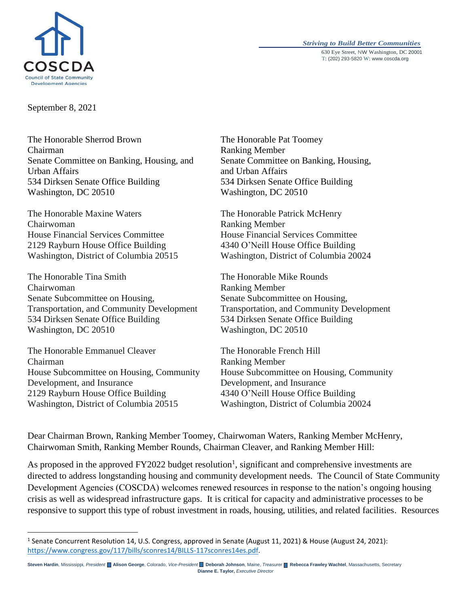



September 8, 2021

The Honorable Sherrod Brown Chairman Senate Committee on Banking, Housing, and Urban Affairs 534 Dirksen Senate Office Building Washington, DC 20510

The Honorable Maxine Waters The Honorable Patrick McHenry Chairwoman Ranking Member House Financial Services Committee House Financial Services Committee 2129 Rayburn House Office Building 4340 O'Neill House Office Building Washington, District of Columbia 20515 Washington, District of Columbia 20024

The Honorable Tina Smith The Honorable Mike Rounds Chairwoman Ranking Member Senate Subcommittee on Housing, Senate Subcommittee on Housing, Transportation, and Community Development Transportation, and Community Development 534 Dirksen Senate Office Building 534 Dirksen Senate Office Building Washington, DC 20510 Washington, DC 20510

The Honorable Emmanuel Cleaver The Honorable French Hill Chairman Ranking Member Development, and Insurance Development, and Insurance 2129 Rayburn House Office Building 4340 O'Neill House Office Building Washington, District of Columbia 20515 Washington, District of Columbia 20024

 $\overline{\phantom{a}}$ 

The Honorable Pat Toomey Ranking Member Senate Committee on Banking, Housing, and Urban Affairs 534 Dirksen Senate Office Building Washington, DC 20510

House Subcommittee on Housing, Community House Subcommittee on Housing, Community

Dear Chairman Brown, Ranking Member Toomey, Chairwoman Waters, Ranking Member McHenry, Chairwoman Smith, Ranking Member Rounds, Chairman Cleaver, and Ranking Member Hill:

As proposed in the approved  $FY2022$  budget resolution<sup>1</sup>, significant and comprehensive investments are directed to address longstanding housing and community development needs. The Council of State Community Development Agencies (COSCDA) welcomes renewed resources in response to the nation's ongoing housing crisis as well as widespread infrastructure gaps. It is critical for capacity and administrative processes to be responsive to support this type of robust investment in roads, housing, utilities, and related facilities. Resources

<sup>&</sup>lt;sup>1</sup> Senate Concurrent Resolution 14, U.S. Congress, approved in Senate (August 11, 2021) & House (August 24, 2021): [https://www.congress.gov/117/bills/sconres14/BILLS-117sconres14es.pdf.](https://www.congress.gov/117/bills/sconres14/BILLS-117sconres14es.pdf) 

**Steven Hardin**, Mississippi*, President* **Alison George**, Colorado, *Vice-President* **Deborah Johnson**, Maine, *Treasurer* **Rebecca Frawley Wachtel**, Massachusetts, Secretary **Dianne E. Taylor,** *Executive Director*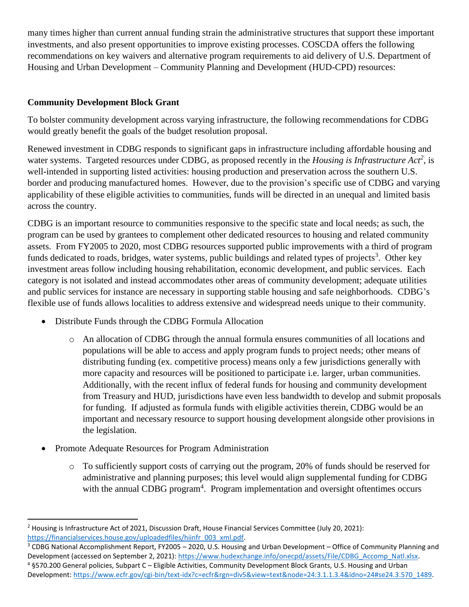many times higher than current annual funding strain the administrative structures that support these important investments, and also present opportunities to improve existing processes. COSCDA offers the following recommendations on key waivers and alternative program requirements to aid delivery of U.S. Department of Housing and Urban Development – Community Planning and Development (HUD-CPD) resources:

# **Community Development Block Grant**

To bolster community development across varying infrastructure, the following recommendations for CDBG would greatly benefit the goals of the budget resolution proposal.

Renewed investment in CDBG responds to significant gaps in infrastructure including affordable housing and water systems. Targeted resources under CDBG, as proposed recently in the *Housing is Infrastructure Act<sup>2</sup>* , is well-intended in supporting listed activities: housing production and preservation across the southern U.S. border and producing manufactured homes. However, due to the provision's specific use of CDBG and varying applicability of these eligible activities to communities, funds will be directed in an unequal and limited basis across the country.

CDBG is an important resource to communities responsive to the specific state and local needs; as such, the program can be used by grantees to complement other dedicated resources to housing and related community assets. From FY2005 to 2020, most CDBG resources supported public improvements with a third of program funds dedicated to roads, bridges, water systems, public buildings and related types of projects<sup>3</sup>. Other key investment areas follow including housing rehabilitation, economic development, and public services. Each category is not isolated and instead accommodates other areas of community development; adequate utilities and public services for instance are necessary in supporting stable housing and safe neighborhoods. CDBG's flexible use of funds allows localities to address extensive and widespread needs unique to their community.

- Distribute Funds through the CDBG Formula Allocation
	- o An allocation of CDBG through the annual formula ensures communities of all locations and populations will be able to access and apply program funds to project needs; other means of distributing funding (ex. competitive process) means only a few jurisdictions generally with more capacity and resources will be positioned to participate i.e. larger, urban communities. Additionally, with the recent influx of federal funds for housing and community development from Treasury and HUD, jurisdictions have even less bandwidth to develop and submit proposals for funding. If adjusted as formula funds with eligible activities therein, CDBG would be an important and necessary resource to support housing development alongside other provisions in the legislation.
- Promote Adequate Resources for Program Administration
	- o To sufficiently support costs of carrying out the program, 20% of funds should be reserved for administrative and planning purposes; this level would align supplemental funding for CDBG with the annual CDBG program<sup>4</sup>. Program implementation and oversight oftentimes occurs

 $\overline{a}$ <sup>2</sup> Housing is Infrastructure Act of 2021, Discussion Draft, House Financial Services Committee (July 20, 2021): [https://financialservices.house.gov/uploadedfiles/hiinfr\\_003\\_xml.pdf.](https://financialservices.house.gov/uploadedfiles/hiinfr_003_xml.pdf) 

<sup>3</sup> CDBG National Accomplishment Report, FY2005 – 2020, U.S. Housing and Urban Development – Office of Community Planning and Development (accessed on September 2, 2021): [https://www.hudexchange.info/onecpd/assets/File/CDBG\\_Accomp\\_Natl.xlsx.](https://www.hudexchange.info/onecpd/assets/File/CDBG_Accomp_Natl.xlsx)  $4$  §570.200 General policies, Subpart C – Eligible Activities, Community Development Block Grants, U.S. Housing and Urban Development: [https://www.ecfr.gov/cgi-bin/text-idx?c=ecfr&rgn=div5&view=text&node=24:3.1.1.3.4&idno=24#se24.3.570\\_1489.](https://www.ecfr.gov/cgi-bin/text-idx?c=ecfr&rgn=div5&view=text&node=24:3.1.1.3.4&idno=24#se24.3.570_1489)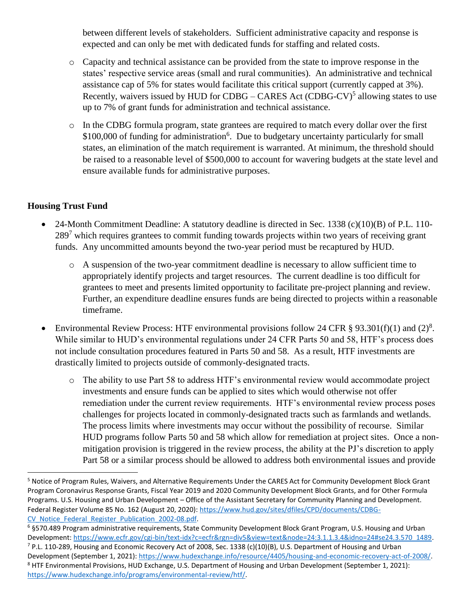between different levels of stakeholders. Sufficient administrative capacity and response is expected and can only be met with dedicated funds for staffing and related costs.

- o Capacity and technical assistance can be provided from the state to improve response in the states' respective service areas (small and rural communities). An administrative and technical assistance cap of 5% for states would facilitate this critical support (currently capped at 3%). Recently, waivers issued by HUD for CDBG – CARES Act  $(CDBG-CV)^5$  allowing states to use up to 7% of grant funds for administration and technical assistance.
- o In the CDBG formula program, state grantees are required to match every dollar over the first \$100,000 of funding for administration<sup>6</sup>. Due to budgetary uncertainty particularly for small states, an elimination of the match requirement is warranted. At minimum, the threshold should be raised to a reasonable level of \$500,000 to account for wavering budgets at the state level and ensure available funds for administrative purposes.

## **Housing Trust Fund**

 $\overline{a}$ 

- 24-Month Commitment Deadline: A statutory deadline is directed in Sec. 1338 (c)(10)(B) of P.L. 110-289<sup>7</sup> which requires grantees to commit funding towards projects within two years of receiving grant funds. Any uncommitted amounts beyond the two-year period must be recaptured by HUD.
	- $\circ$  A suspension of the two-year commitment deadline is necessary to allow sufficient time to appropriately identify projects and target resources. The current deadline is too difficult for grantees to meet and presents limited opportunity to facilitate pre-project planning and review. Further, an expenditure deadline ensures funds are being directed to projects within a reasonable timeframe.
- Environmental Review Process: HTF environmental provisions follow 24 CFR § 93.301(f)(1) and (2)<sup>8</sup>. While similar to HUD's environmental regulations under 24 CFR Parts 50 and 58, HTF's process does not include consultation procedures featured in Parts 50 and 58. As a result, HTF investments are drastically limited to projects outside of commonly-designated tracts.
	- o The ability to use Part 58 to address HTF's environmental review would accommodate project investments and ensure funds can be applied to sites which would otherwise not offer remediation under the current review requirements. HTF's environmental review process poses challenges for projects located in commonly-designated tracts such as farmlands and wetlands. The process limits where investments may occur without the possibility of recourse. Similar HUD programs follow Parts 50 and 58 which allow for remediation at project sites. Once a nonmitigation provision is triggered in the review process, the ability at the PJ's discretion to apply Part 58 or a similar process should be allowed to address both environmental issues and provide

<sup>&</sup>lt;sup>5</sup> Notice of Program Rules, Waivers, and Alternative Requirements Under the CARES Act for Community Development Block Grant Program Coronavirus Response Grants, Fiscal Year 2019 and 2020 Community Development Block Grants, and for Other Formula Programs. U.S. Housing and Urban Development – Office of the Assistant Secretary for Community Planning and Development. Federal Register Volume 85 No. 162 (August 20, 2020): [https://www.hud.gov/sites/dfiles/CPD/documents/CDBG-](https://www.hud.gov/sites/dfiles/CPD/documents/CDBG-CV_Notice_Federal_Register_Publication_2002-08.pdf)CV Notice Federal Register Publication 2002-08.pdf.

 $6$  §570.489 Program administrative requirements, State Community Development Block Grant Program, U.S. Housing and Urban Development: [https://www.ecfr.gov/cgi-bin/text-idx?c=ecfr&rgn=div5&view=text&node=24:3.1.1.3.4&idno=24#se24.3.570\\_1489.](https://www.ecfr.gov/cgi-bin/text-idx?c=ecfr&rgn=div5&view=text&node=24:3.1.1.3.4&idno=24#se24.3.570_1489) <sup>7</sup> P.L. 110-289, Housing and Economic Recovery Act of 2008, Sec. 1338 (c)(10)(B), U.S. Department of Housing and Urban Development (September 1, 2021): [https://www.hudexchange.info/resource/4405/housing-and-economic-recovery-act-of-2008/.](https://www.hudexchange.info/resource/4405/housing-and-economic-recovery-act-of-2008/) <sup>8</sup> HTF Environmental Provisions, HUD Exchange, U.S. Department of Housing and Urban Development (September 1, 2021): [https://www.hudexchange.info/programs/environmental-review/htf/.](https://www.hudexchange.info/programs/environmental-review/htf/)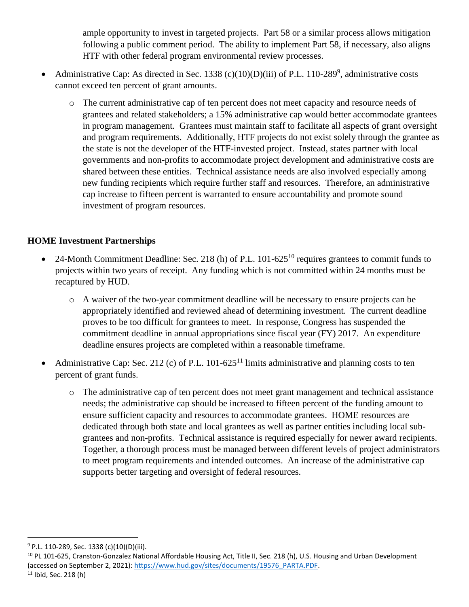ample opportunity to invest in targeted projects. Part 58 or a similar process allows mitigation following a public comment period. The ability to implement Part 58, if necessary, also aligns HTF with other federal program environmental review processes.

- Administrative Cap: As directed in Sec. 1338 (c)(10)(D)(iii) of P.L. 110-289<sup>9</sup>, administrative costs cannot exceed ten percent of grant amounts.
	- o The current administrative cap of ten percent does not meet capacity and resource needs of grantees and related stakeholders; a 15% administrative cap would better accommodate grantees in program management. Grantees must maintain staff to facilitate all aspects of grant oversight and program requirements. Additionally, HTF projects do not exist solely through the grantee as the state is not the developer of the HTF-invested project. Instead, states partner with local governments and non-profits to accommodate project development and administrative costs are shared between these entities. Technical assistance needs are also involved especially among new funding recipients which require further staff and resources. Therefore, an administrative cap increase to fifteen percent is warranted to ensure accountability and promote sound investment of program resources.

## **HOME Investment Partnerships**

- 24-Month Commitment Deadline: Sec. 218 (h) of P.L. 101-625<sup>10</sup> requires grantees to commit funds to projects within two years of receipt. Any funding which is not committed within 24 months must be recaptured by HUD.
	- o A waiver of the two-year commitment deadline will be necessary to ensure projects can be appropriately identified and reviewed ahead of determining investment. The current deadline proves to be too difficult for grantees to meet. In response, Congress has suspended the commitment deadline in annual appropriations since fiscal year (FY) 2017. An expenditure deadline ensures projects are completed within a reasonable timeframe.
- Administrative Cap: Sec. 212 (c) of P.L. 101-625<sup>11</sup> limits administrative and planning costs to ten percent of grant funds.
	- o The administrative cap of ten percent does not meet grant management and technical assistance needs; the administrative cap should be increased to fifteen percent of the funding amount to ensure sufficient capacity and resources to accommodate grantees. HOME resources are dedicated through both state and local grantees as well as partner entities including local subgrantees and non-profits. Technical assistance is required especially for newer award recipients. Together, a thorough process must be managed between different levels of project administrators to meet program requirements and intended outcomes. An increase of the administrative cap supports better targeting and oversight of federal resources.

 $\overline{a}$ 

 $9$  P.L. 110-289, Sec. 1338 (c)(10)(D)(iii).

<sup>&</sup>lt;sup>10</sup> PL 101-625, Cranston-Gonzalez National Affordable Housing Act, Title II, Sec. 218 (h), U.S. Housing and Urban Development (accessed on September 2, 2021)[: https://www.hud.gov/sites/documents/19576\\_PARTA.PDF.](https://www.hud.gov/sites/documents/19576_PARTA.PDF) <sup>11</sup> Ibid, Sec. 218 (h)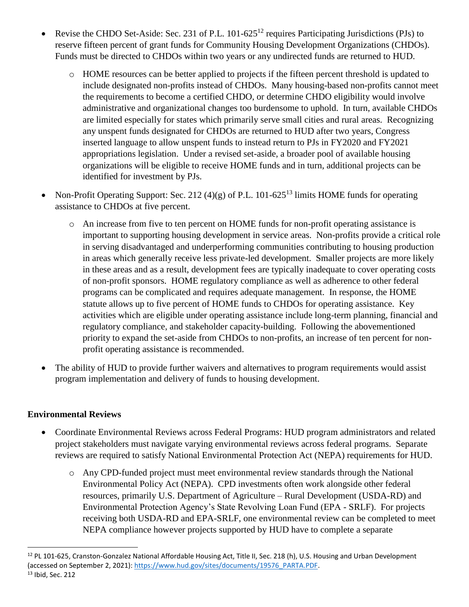- Revise the CHDO Set-Aside: Sec. 231 of P.L. 101-625<sup>12</sup> requires Participating Jurisdictions (PJs) to reserve fifteen percent of grant funds for Community Housing Development Organizations (CHDOs). Funds must be directed to CHDOs within two years or any undirected funds are returned to HUD.
	- o HOME resources can be better applied to projects if the fifteen percent threshold is updated to include designated non-profits instead of CHDOs. Many housing-based non-profits cannot meet the requirements to become a certified CHDO, or determine CHDO eligibility would involve administrative and organizational changes too burdensome to uphold. In turn, available CHDOs are limited especially for states which primarily serve small cities and rural areas. Recognizing any unspent funds designated for CHDOs are returned to HUD after two years, Congress inserted language to allow unspent funds to instead return to PJs in FY2020 and FY2021 appropriations legislation. Under a revised set-aside, a broader pool of available housing organizations will be eligible to receive HOME funds and in turn, additional projects can be identified for investment by PJs.
- Non-Profit Operating Support: Sec. 212 (4)(g) of P.L. 101-625<sup>13</sup> limits HOME funds for operating assistance to CHDOs at five percent.
	- o An increase from five to ten percent on HOME funds for non-profit operating assistance is important to supporting housing development in service areas. Non-profits provide a critical role in serving disadvantaged and underperforming communities contributing to housing production in areas which generally receive less private-led development. Smaller projects are more likely in these areas and as a result, development fees are typically inadequate to cover operating costs of non-profit sponsors. HOME regulatory compliance as well as adherence to other federal programs can be complicated and requires adequate management. In response, the HOME statute allows up to five percent of HOME funds to CHDOs for operating assistance. Key activities which are eligible under operating assistance include long-term planning, financial and regulatory compliance, and stakeholder capacity-building. Following the abovementioned priority to expand the set-aside from CHDOs to non-profits, an increase of ten percent for nonprofit operating assistance is recommended.
- The ability of HUD to provide further waivers and alternatives to program requirements would assist program implementation and delivery of funds to housing development.

#### **Environmental Reviews**

 $\overline{\phantom{a}}$ 

- Coordinate Environmental Reviews across Federal Programs: HUD program administrators and related project stakeholders must navigate varying environmental reviews across federal programs. Separate reviews are required to satisfy National Environmental Protection Act (NEPA) requirements for HUD.
	- o Any CPD-funded project must meet environmental review standards through the National Environmental Policy Act (NEPA). CPD investments often work alongside other federal resources, primarily U.S. Department of Agriculture – Rural Development (USDA-RD) and Environmental Protection Agency's State Revolving Loan Fund (EPA - SRLF). For projects receiving both USDA-RD and EPA-SRLF, one environmental review can be completed to meet NEPA compliance however projects supported by HUD have to complete a separate

<sup>&</sup>lt;sup>12</sup> PL 101-625, Cranston-Gonzalez National Affordable Housing Act, Title II, Sec. 218 (h), U.S. Housing and Urban Development (accessed on September 2, 2021)[: https://www.hud.gov/sites/documents/19576\\_PARTA.PDF.](https://www.hud.gov/sites/documents/19576_PARTA.PDF) <sup>13</sup> Ibid, Sec. 212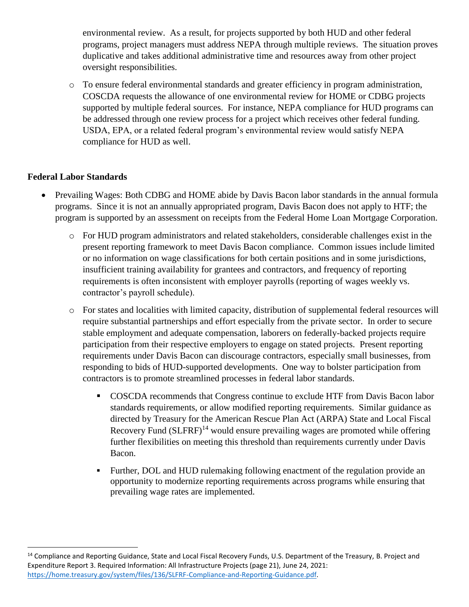environmental review. As a result, for projects supported by both HUD and other federal programs, project managers must address NEPA through multiple reviews. The situation proves duplicative and takes additional administrative time and resources away from other project oversight responsibilities.

o To ensure federal environmental standards and greater efficiency in program administration, COSCDA requests the allowance of one environmental review for HOME or CDBG projects supported by multiple federal sources. For instance, NEPA compliance for HUD programs can be addressed through one review process for a project which receives other federal funding. USDA, EPA, or a related federal program's environmental review would satisfy NEPA compliance for HUD as well.

## **Federal Labor Standards**

 $\overline{\phantom{a}}$ 

- Prevailing Wages: Both CDBG and HOME abide by Davis Bacon labor standards in the annual formula programs. Since it is not an annually appropriated program, Davis Bacon does not apply to HTF; the program is supported by an assessment on receipts from the Federal Home Loan Mortgage Corporation.
	- o For HUD program administrators and related stakeholders, considerable challenges exist in the present reporting framework to meet Davis Bacon compliance. Common issues include limited or no information on wage classifications for both certain positions and in some jurisdictions, insufficient training availability for grantees and contractors, and frequency of reporting requirements is often inconsistent with employer payrolls (reporting of wages weekly vs. contractor's payroll schedule).
	- o For states and localities with limited capacity, distribution of supplemental federal resources will require substantial partnerships and effort especially from the private sector. In order to secure stable employment and adequate compensation, laborers on federally-backed projects require participation from their respective employers to engage on stated projects. Present reporting requirements under Davis Bacon can discourage contractors, especially small businesses, from responding to bids of HUD-supported developments. One way to bolster participation from contractors is to promote streamlined processes in federal labor standards.
		- COSCDA recommends that Congress continue to exclude HTF from Davis Bacon labor standards requirements, or allow modified reporting requirements. Similar guidance as directed by Treasury for the American Rescue Plan Act (ARPA) State and Local Fiscal Recovery Fund  $(SLFRF)^{14}$  would ensure prevailing wages are promoted while offering further flexibilities on meeting this threshold than requirements currently under Davis Bacon.
		- Further, DOL and HUD rulemaking following enactment of the regulation provide an opportunity to modernize reporting requirements across programs while ensuring that prevailing wage rates are implemented.

<sup>&</sup>lt;sup>14</sup> Compliance and Reporting Guidance, State and Local Fiscal Recovery Funds, U.S. Department of the Treasury, B. Project and Expenditure Report 3. Required Information: All Infrastructure Projects (page 21), June 24, 2021: [https://home.treasury.gov/system/files/136/SLFRF-Compliance-and-Reporting-Guidance.pdf.](https://home.treasury.gov/system/files/136/SLFRF-Compliance-and-Reporting-Guidance.pdf)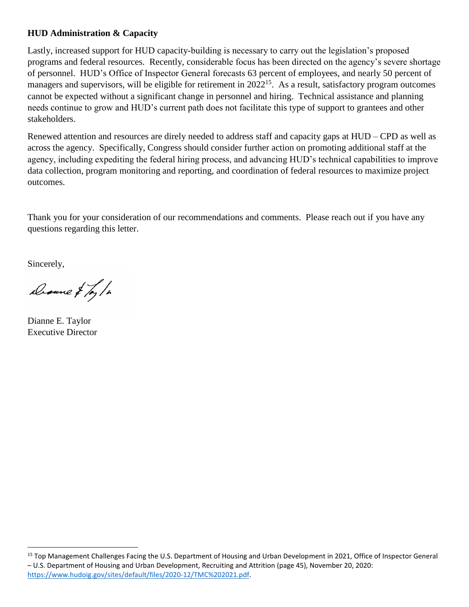## **HUD Administration & Capacity**

Lastly, increased support for HUD capacity-building is necessary to carry out the legislation's proposed programs and federal resources. Recently, considerable focus has been directed on the agency's severe shortage of personnel. HUD's Office of Inspector General forecasts 63 percent of employees, and nearly 50 percent of managers and supervisors, will be eligible for retirement in 2022<sup>15</sup>. As a result, satisfactory program outcomes cannot be expected without a significant change in personnel and hiring. Technical assistance and planning needs continue to grow and HUD's current path does not facilitate this type of support to grantees and other stakeholders.

Renewed attention and resources are direly needed to address staff and capacity gaps at HUD – CPD as well as across the agency. Specifically, Congress should consider further action on promoting additional staff at the agency, including expediting the federal hiring process, and advancing HUD's technical capabilities to improve data collection, program monitoring and reporting, and coordination of federal resources to maximize project outcomes.

Thank you for your consideration of our recommendations and comments. Please reach out if you have any questions regarding this letter.

Sincerely,

 $\overline{\phantom{a}}$ 

Drame & Ty/h

Dianne E. Taylor Executive Director

<sup>&</sup>lt;sup>15</sup> Top Management Challenges Facing the U.S. Department of Housing and Urban Development in 2021, Office of Inspector General – U.S. Department of Housing and Urban Development, Recruiting and Attrition (page 45), November 20, 2020: [https://www.hudoig.gov/sites/default/files/2020-12/TMC%202021.pdf.](https://www.hudoig.gov/sites/default/files/2020-12/TMC%202021.pdf)